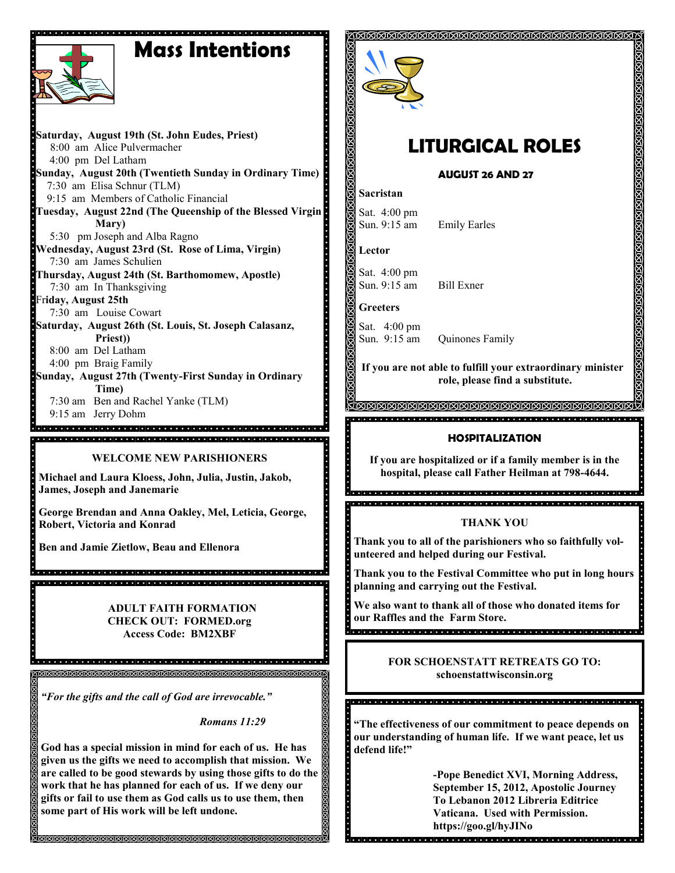# **Mass Intentions**



**WELCOME NEW PARISHIONERS**

**Michael and Laura Kloess, John, Julia, Justin, Jakob, James, Joseph and Janemarie**

**George Brendan and Anna Oakley, Mel, Leticia, George, Robert, Victoria and Konrad**

**Ben and Jamie Zietlow, Beau and Ellenora**

 **ADULT FAITH FORMATION CHECK OUT: FORMED.org Access Code: BM2XBF**

*"For the gifts and the call of God are irrevocable."*

*Romans 11:29*

**God has a special mission in mind for each of us. He has given us the gifts we need to accomplish that mission. We are called to be good stewards by using those gifts to do the work that he has planned for each of us. If we deny our gifts or fail to use them as God calls us to use them, then some part of His work will be left undone.** 

**MMMMMMMMMMMMMMMMMM** 



## **LITURGICAL ROLES**

**AUGUST 26 AND 27**

**Emily Earles** 

#### **Sacristan**

Sat. 4:00 pm<br>Sun. 9:15 am

**Lector**

Sat. 4:00 pm Sun. 9:15 am Bill Exner

**Greeters**

Sat. 4:00 pm<br>Sun. 9:15 am Quinones Family

**If you are not able to fulfill your extraordinary minister role, please find a substitute.** 

**MMMMMMMMMMMM** 

#### **HOSPITALIZATION**

**If you are hospitalized or if a family member is in the hospital, please call Father Heilman at 798-4644.**

#### **THANK YOU**

**Thank you to all of the parishioners who so faithfully volunteered and helped during our Festival.** 

**Thank you to the Festival Committee who put in long hours planning and carrying out the Festival.** 

**We also want to thank all of those who donated items for our Raffles and the Farm Store.**

#### **FOR SCHOENSTATT RETREATS GO TO: schoenstattwisconsin.org**

**"The effectiveness of our commitment to peace depends on our understanding of human life. If we want peace, let us defend life!"**

<u>। अनियान समय को समय को समय को समय को समय को समय को समय को समय को समय को समय को समय को समय को समय को समय को सम</u>

**-Pope Benedict XVI, Morning Address, September 15, 2012, Apostolic Journey To Lebanon 2012 Libreria Editrice Vaticana. Used with Permission. https://goo.gl/hyJINo**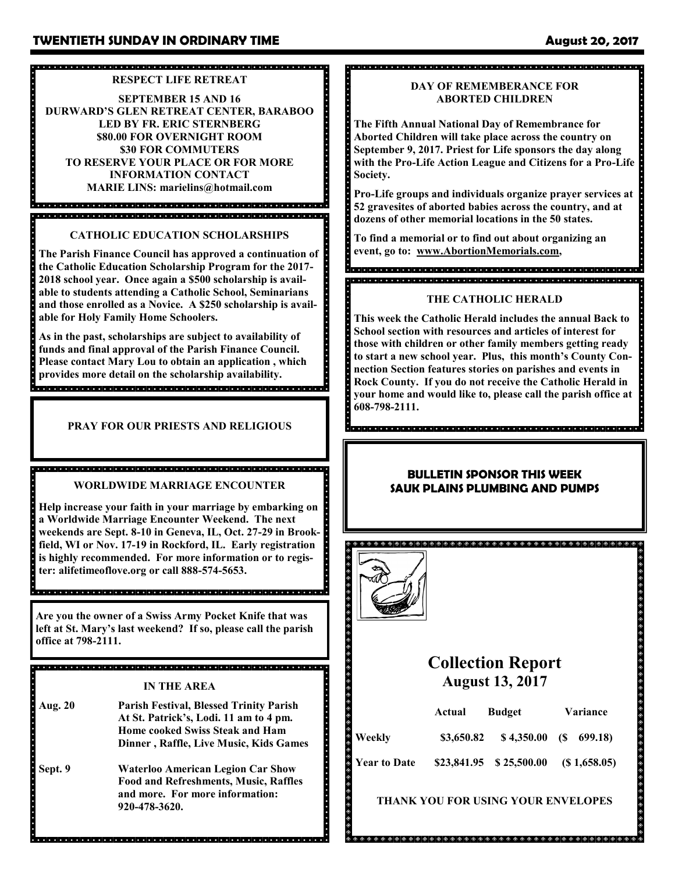#### 

#### **RESPECT LIFE RETREAT**

**SEPTEMBER 15 AND 16 DURWARD'S GLEN RETREAT CENTER, BARABOO LED BY FR. ERIC STERNBERG \$80.00 FOR OVERNIGHT ROOM \$30 FOR COMMUTERS TO RESERVE YOUR PLACE OR FOR MORE INFORMATION CONTACT MARIE LINS: marielins@hotmail.com**

a<br>a dia dia kaominina dia kaominina mpikambana amin'ny faritr'ora dia GMT+1. 

**CATHOLIC EDUCATION SCHOLARSHIPS**

**The Parish Finance Council has approved a continuation of the Catholic Education Scholarship Program for the 2017- 2018 school year. Once again a \$500 scholarship is available to students attending a Catholic School, Seminarians and those enrolled as a Novice. A \$250 scholarship is available for Holy Family Home Schoolers.**

**As in the past, scholarships are subject to availability of funds and final approval of the Parish Finance Council. Please contact Mary Lou to obtain an application , which provides more detail on the scholarship availability.**  

**PRAY FOR OUR PRIESTS AND RELIGIOUS** 

#### **WORLDWIDE MARRIAGE ENCOUNTER**

**Help increase your faith in your marriage by embarking on a Worldwide Marriage Encounter Weekend. The next weekends are Sept. 8-10 in Geneva, IL, Oct. 27-29 in Brookfield, WI or Nov. 17-19 in Rockford, IL. Early registration is highly recommended. For more information or to register: alifetimeoflove.org or call 888-574-5653.** 

**Are you the owner of a Swiss Army Pocket Knife that was left at St. Mary's last weekend? If so, please call the parish office at 798-2111.**

<u> ग्राम मानवान मानवान मानवान मानवान मानवान मानवान मानवान मानवान मानवान मानवान मानवान मानवान मानवान मानवान मान</u>

### **IN THE AREA**

- **Aug. 20 Parish Festival, Blessed Trinity Parish At St. Patrick's, Lodi. 11 am to 4 pm. Home cooked Swiss Steak and Ham Dinner , Raffle, Live Music, Kids Games**
- **Sept. 9 Waterloo American Legion Car Show Food and Refreshments, Music, Raffles and more. For more information: 920-478-3620.**

### 

#### **DAY OF REMEMBERANCE FOR ABORTED CHILDREN**

**The Fifth Annual National Day of Remembrance for Aborted Children will take place across the country on September 9, 2017. Priest for Life sponsors the day along with the Pro-Life Action League and Citizens for a Pro-Life Society.** 

**Pro-Life groups and individuals organize prayer services at 52 gravesites of aborted babies across the country, and at dozens of other memorial locations in the 50 states.**

**To find a memorial or to find out about organizing an event, go to: www.AbortionMemorials.com,**

a dia dia dia kaominina mpikambana amin'ny faritr'orana amin'ny faritr'orana amin'ny faritr'orana amin'ny fari 

#### **THE CATHOLIC HERALD**

**This week the Catholic Herald includes the annual Back to School section with resources and articles of interest for those with children or other family members getting ready to start a new school year. Plus, this month's County Connection Section features stories on parishes and events in Rock County. If you do not receive the Catholic Herald in your home and would like to, please call the parish office at 608-798-2111.**

#### **BULLETIN SPONSOR THIS WEEK SAUK PLAINS PLUMBING AND PUMPS**



. . . . . . . . . . . . . .

## **Collection Report August 13, 2017**

|                     | Actual     | <b>Budget</b>           | <b>Variance</b> |             |
|---------------------|------------|-------------------------|-----------------|-------------|
| Weekly              | \$3,650.82 | $$4,350.00$ (\$ 699.18) |                 |             |
| <b>Year to Date</b> |            | \$23,841.95 \$25,500.00 |                 | (S1,658.05) |

#### **THANK YOU FOR USING YOUR ENVELOPES**